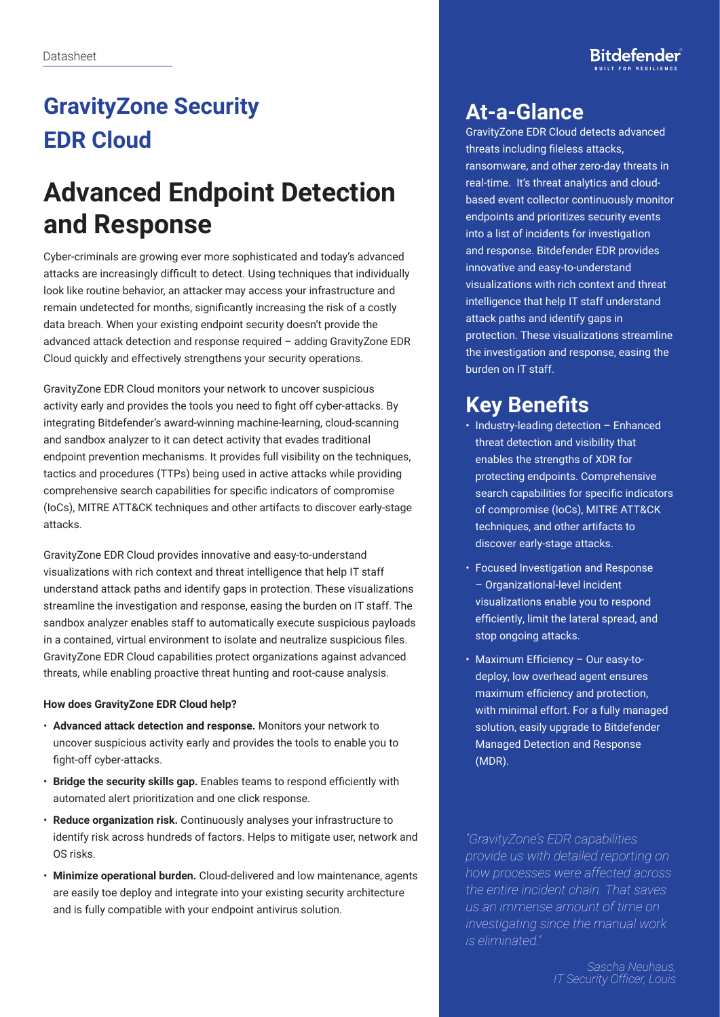# **GravityZone Security EDR Cloud**

# **Advanced Endpoint Detection and Response**

Cyber-criminals are growing ever more sophisticated and today's advanced attacks are increasingly difficult to detect. Using techniques that individually look like routine behavior, an attacker may access your infrastructure and remain undetected for months, significantly increasing the risk of a costly data breach. When your existing endpoint security doesn't provide the advanced attack detection and response required – adding GravityZone EDR Cloud quickly and effectively strengthens your security operations.

GravityZone EDR Cloud monitors your network to uncover suspicious activity early and provides the tools you need to fight off cyber-attacks. By integrating Bitdefender's award-winning machine-learning, cloud-scanning and sandbox analyzer to it can detect activity that evades traditional endpoint prevention mechanisms. It provides full visibility on the techniques, tactics and procedures (TTPs) being used in active attacks while providing comprehensive search capabilities for specific indicators of compromise (IoCs), MITRE ATT&CK techniques and other artifacts to discover early-stage attacks.

GravityZone EDR Cloud provides innovative and easy-to-understand visualizations with rich context and threat intelligence that help IT staff understand attack paths and identify gaps in protection. These visualizations streamline the investigation and response, easing the burden on IT staff. The sandbox analyzer enables staff to automatically execute suspicious payloads in a contained, virtual environment to isolate and neutralize suspicious files. GravityZone EDR Cloud capabilities protect organizations against advanced threats, while enabling proactive threat hunting and root-cause analysis.

#### **How does GravityZone EDR Cloud help?**

- **Advanced attack detection and response.** Monitors your network to uncover suspicious activity early and provides the tools to enable you to fight-off cyber-attacks.
- **Bridge the security skills gap.** Enables teams to respond efficiently with automated alert prioritization and one click response.
- **Reduce organization risk.** Continuously analyses your infrastructure to identify risk across hundreds of factors. Helps to mitigate user, network and OS risks.
- **Minimize operational burden.** Cloud-delivered and low maintenance, agents are easily toe deploy and integrate into your existing security architecture and is fully compatible with your endpoint antivirus solution.

### **At-a-Glance**

GravityZone EDR Cloud detects advanced threats including fileless attacks, ransomware, and other zero-day threats in real-time.  It's threat analytics and cloudbased event collector continuously monitor endpoints and prioritizes security events into a list of incidents for investigation and response. Bitdefender EDR provides innovative and easy-to-understand visualizations with rich context and threat intelligence that help IT staff understand attack paths and identify gaps in protection. These visualizations streamline the investigation and response, easing the burden on IT staff.

## **Key Benefits**

- Industry-leading detection Enhanced threat detection and visibility that enables the strengths of XDR for protecting endpoints. Comprehensive search capabilities for specific indicators of compromise (IoCs), MITRE ATT&CK techniques, and other artifacts to discover early-stage attacks.
- Focused Investigation and Response – Organizational-level incident visualizations enable you to respond efficiently, limit the lateral spread, and stop ongoing attacks.
- Maximum Efficiency Our easy-todeploy, low overhead agent ensures maximum efficiency and protection, with minimal effort. For a fully managed solution, easily upgrade to Bitdefender Managed Detection and Response (MDR).

*"GravityZone's EDR capabilities provide us with detailed reporting on how processes were affected across the entire incident chain. That saves us an immense amount of time on investigating since the manual work is eliminated."*